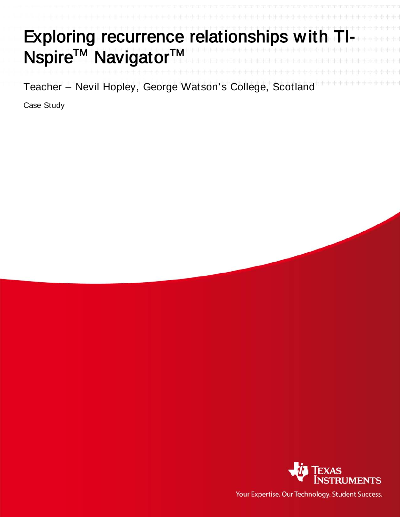|                                            | Exploring recurrence relationships with TI- |
|--------------------------------------------|---------------------------------------------|
| Nspire <sup>™</sup> Navigator <sup>™</sup> |                                             |
|                                            |                                             |

Teacher – Nevil Hopley, George Watson's College, Scotland

Case Study



Your Expertise. Our Technology. Student Success.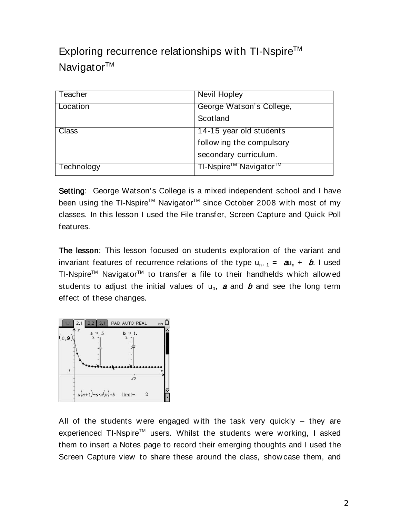Exploring recurrence relationships with TI-Nspire<sup>TM</sup> Navigator™

| Teacher    | Nevil Hopley                                  |
|------------|-----------------------------------------------|
| Location   | George Watson's College,                      |
|            | Scotland                                      |
| Class      | 14-15 year old students                       |
|            | following the compulsory                      |
|            | secondary curriculum.                         |
| Technology | TI-Nspire <sup>™</sup> Navigator <sup>™</sup> |

Setting: George Watson's College is a mixed independent school and I have been using the TI-Nspire™ Navigator<sup>™</sup> since October 2008 with most of my classes. In this lesson I used the File transfer, Screen Capture and Quick Poll features.

The lesson: This lesson focused on students exploration of the variant and invariant features of recurrence relations of the type  $u_{n+1} = au_n + b$ . I used TI-Nspire<sup>™</sup> Navigator<sup>™</sup> to transfer a file to their handhelds which allowed students to adjust the initial values of  $u_0$ , a and b and see the long term effect of these changes.



All of the students were engaged with the task very quickly  $-$  they are experienced TI-Nspire<sup>™</sup> users. Whilst the students were working, I asked them to insert a Notes page to record their emerging thoughts and I used the Screen Capture view to share these around the class, show case them, and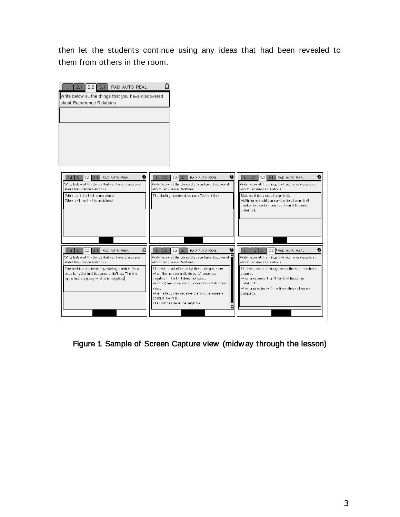then let the students continue using any ideas that had been revealed to them from others in the room.



Figure 1 Sample of Screen Capture view (midw ay through the lesson)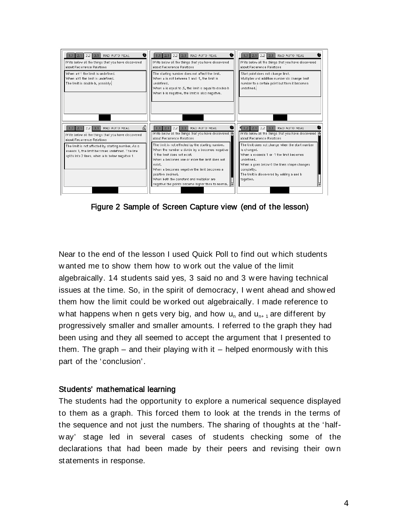

Figure 2 Sample of Screen Capture view (end of the lesson)

Near to the end of the lesson I used Quick Poll to find out w hich students w anted me to show them how to w ork out the value of the limit algebraically. 14 students said yes, 3 said no and 3 w ere having technical issues at the time. So, in the spirit of democracy, I w ent ahead and show ed them how the limit could be w orked out algebraically. I made reference to w hat happens w hen n gets very big, and how  $u_n$  and  $u_{n+1}$  are different by progressively smaller and smaller amounts. I referred to the graph they had been using and they all seemed to accept the argument that I presented to them. The graph – and their playing w ith it – helped enormously w ith this part of the 'conclusion'.

## Students' mathematical learning

The students had the opportunity to explore a numerical sequence displayed to them as a graph. This forced them to look at the trends in the terms of the sequence and not just the numbers. The sharing of thoughts at the 'halfw ay' stage led in several cases of students checking some of the declarations that had been made by their peers and revising their ow n statements in response.